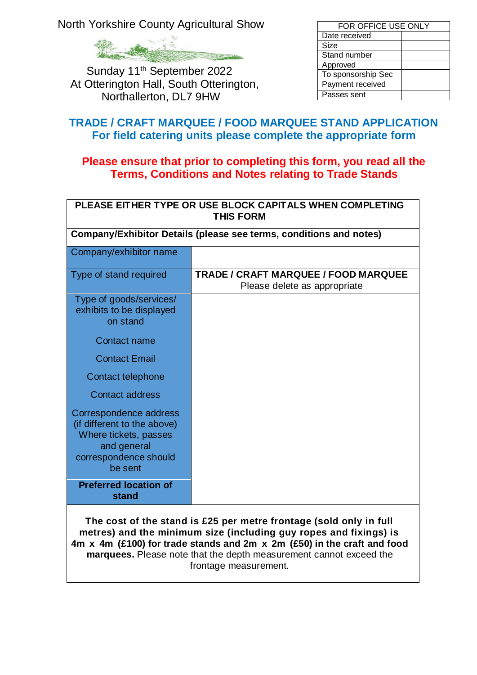North Yorkshire County Agricultural Show

Sunday 11<sup>th</sup> September 2022 At Otterington Hall, South Otterington, Northallerton, DL7 9HW

| FOR OFFICE USE ONLY |  |  |
|---------------------|--|--|
| Date received       |  |  |
| Size                |  |  |
| Stand number        |  |  |
| Approved            |  |  |
| To sponsorship Sec  |  |  |
| Payment received    |  |  |
| Passes sent         |  |  |

## **TRADE / CRAFT MARQUEE / FOOD MARQUEE STAND APPLICATION For field catering units please complete the appropriate form**

## **Please ensure that prior to completing this form, you read all the Terms, Conditions and Notes relating to Trade Stands**

| PLEASE EITHER TYPE OR USE BLOCK CAPITALS WHEN COMPLETING<br><b>THIS FORM</b>                                                      |                                                                             |  |  |  |
|-----------------------------------------------------------------------------------------------------------------------------------|-----------------------------------------------------------------------------|--|--|--|
| Company/Exhibitor Details (please see terms, conditions and notes)                                                                |                                                                             |  |  |  |
| Company/exhibitor name                                                                                                            |                                                                             |  |  |  |
| Type of stand required                                                                                                            | <b>TRADE / CRAFT MARQUEE / FOOD MARQUEE</b><br>Please delete as appropriate |  |  |  |
| Type of goods/services/<br>exhibits to be displayed<br>on stand                                                                   |                                                                             |  |  |  |
| Contact name                                                                                                                      |                                                                             |  |  |  |
| <b>Contact Email</b>                                                                                                              |                                                                             |  |  |  |
| Contact telephone                                                                                                                 |                                                                             |  |  |  |
| Contact address                                                                                                                   |                                                                             |  |  |  |
| Correspondence address<br>(if different to the above)<br>Where tickets, passes<br>and general<br>correspondence should<br>be sent |                                                                             |  |  |  |
| <b>Preferred location of</b><br>stand                                                                                             |                                                                             |  |  |  |
| The cost of the stand is £25 ner metre frontane (sold only in full                                                                |                                                                             |  |  |  |

**The cost of the stand is £25 per metre frontage (sold only in full metres) and the minimum size (including guy ropes and fixings) is 4m x 4m (£100) for trade stands and 2m x 2m (£50) in the craft and food marquees.** Please note that the depth measurement cannot exceed the frontage measurement.